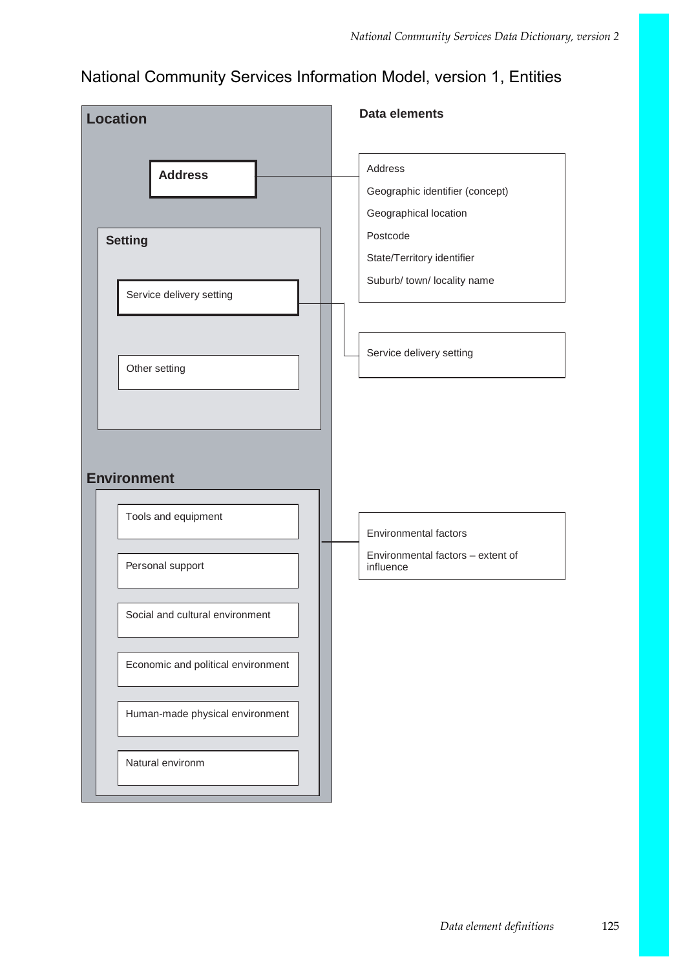## National Community Services Information Model, version 1, Entities

| <b>Location</b>                                                               | <b>Data elements</b>                                                                                                                                                     |
|-------------------------------------------------------------------------------|--------------------------------------------------------------------------------------------------------------------------------------------------------------------------|
| <b>Address</b><br><b>Setting</b><br>Service delivery setting<br>Other setting | Address<br>Geographic identifier (concept)<br>Geographical location<br>Postcode<br>State/Territory identifier<br>Suburb/ town/ locality name<br>Service delivery setting |
| <b>Environment</b>                                                            |                                                                                                                                                                          |
| Tools and equipment                                                           | Environmental factors                                                                                                                                                    |
| Personal support                                                              | Environmental factors - extent of<br>influence                                                                                                                           |
| Social and cultural environment                                               |                                                                                                                                                                          |
| Economic and political environment                                            |                                                                                                                                                                          |
| Human-made physical environment                                               |                                                                                                                                                                          |
| Natural environm                                                              |                                                                                                                                                                          |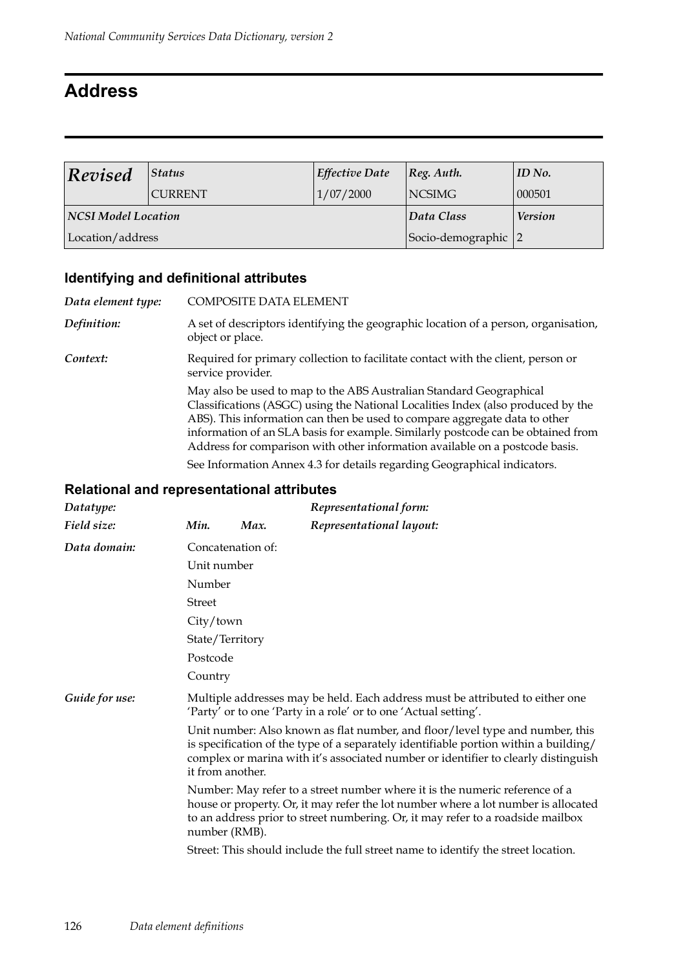## **Address**

| Revised                    | <b>Status</b>  | <b>Effective Date</b> | $ Reg.$ Auth.       | ID No. |
|----------------------------|----------------|-----------------------|---------------------|--------|
|                            | <b>CURRENT</b> | 1/07/2000             | <b>NCSIMG</b>       | 000501 |
| <b>NCSI Model Location</b> |                | Data Class            | <b>Version</b>      |        |
| Location/address           |                |                       | Socio-demographic 2 |        |

## **Identifying and definitional attributes**

| Data element type: | <b>COMPOSITE DATA ELEMENT</b>                                                                                                                                                                                                                                                                                                                                                                                                                                                                                                       |
|--------------------|-------------------------------------------------------------------------------------------------------------------------------------------------------------------------------------------------------------------------------------------------------------------------------------------------------------------------------------------------------------------------------------------------------------------------------------------------------------------------------------------------------------------------------------|
| Definition:        | A set of descriptors identifying the geographic location of a person, organisation,<br>object or place.                                                                                                                                                                                                                                                                                                                                                                                                                             |
| Context:           | Required for primary collection to facilitate contact with the client, person or<br>service provider.                                                                                                                                                                                                                                                                                                                                                                                                                               |
|                    | May also be used to map to the ABS Australian Standard Geographical<br>Classifications (ASGC) using the National Localities Index (also produced by the<br>ABS). This information can then be used to compare aggregate data to other<br>information of an SLA basis for example. Similarly postcode can be obtained from<br>Address for comparison with other information available on a postcode basis.<br>المستحدث والمستحيل والمستحدث والمستحدث والمستحدث والمستحدث والمستحدث والمستحدث والمستحدث والمستحدث والمستحدث والمستحدث |

See Information Annex 4.3 for details regarding Geographical indicators.

| Datatype:      |               |                   | Representational form:                                                                                                                                                                                                                                      |
|----------------|---------------|-------------------|-------------------------------------------------------------------------------------------------------------------------------------------------------------------------------------------------------------------------------------------------------------|
| Field size:    | Min.          | Max.              | Representational layout:                                                                                                                                                                                                                                    |
| Data domain:   |               | Concatenation of: |                                                                                                                                                                                                                                                             |
|                | Unit number   |                   |                                                                                                                                                                                                                                                             |
|                | Number        |                   |                                                                                                                                                                                                                                                             |
|                | <b>Street</b> |                   |                                                                                                                                                                                                                                                             |
|                | City/town     |                   |                                                                                                                                                                                                                                                             |
|                |               | State/Territory   |                                                                                                                                                                                                                                                             |
|                | Postcode      |                   |                                                                                                                                                                                                                                                             |
|                | Country       |                   |                                                                                                                                                                                                                                                             |
| Guide for use: |               |                   | Multiple addresses may be held. Each address must be attributed to either one<br>'Party' or to one 'Party in a role' or to one 'Actual setting'.                                                                                                            |
|                |               | it from another.  | Unit number: Also known as flat number, and floor/level type and number, this<br>is specification of the type of a separately identifiable portion within a building/<br>complex or marina with it's associated number or identifier to clearly distinguish |
|                |               | number (RMB).     | Number: May refer to a street number where it is the numeric reference of a<br>house or property. Or, it may refer the lot number where a lot number is allocated<br>to an address prior to street numbering. Or, it may refer to a roadside mailbox        |
|                |               |                   | Street: This should include the full street name to identify the street location.                                                                                                                                                                           |
|                |               |                   |                                                                                                                                                                                                                                                             |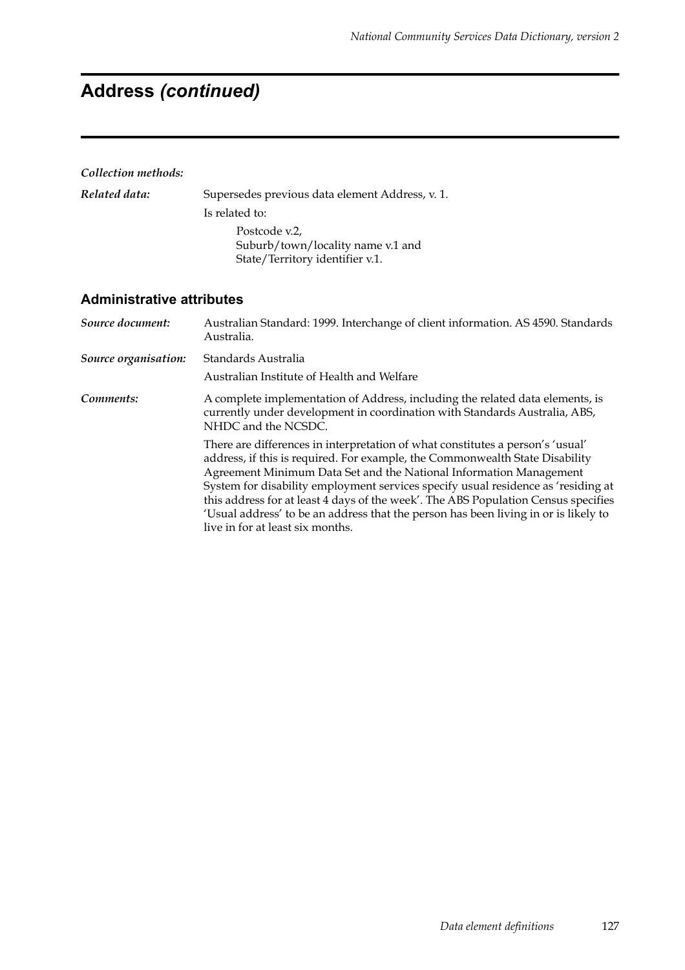# **Address** *(continued)*

#### *Collection methods:*

| Related data: | Supersedes previous data element Address, v. 1.                                       |
|---------------|---------------------------------------------------------------------------------------|
|               | Is related to:                                                                        |
|               | Postcode v.2,<br>Suburb/town/locality name v.1 and<br>State/Territory identifier v.1. |

| Source document:     | Australian Standard: 1999. Interchange of client information. AS 4590. Standards<br>Australia.                                                                                                                                                                                                                                                                                                                                                                                                                                             |
|----------------------|--------------------------------------------------------------------------------------------------------------------------------------------------------------------------------------------------------------------------------------------------------------------------------------------------------------------------------------------------------------------------------------------------------------------------------------------------------------------------------------------------------------------------------------------|
| Source organisation: | Standards Australia                                                                                                                                                                                                                                                                                                                                                                                                                                                                                                                        |
|                      | Australian Institute of Health and Welfare                                                                                                                                                                                                                                                                                                                                                                                                                                                                                                 |
| Comments:            | A complete implementation of Address, including the related data elements, is<br>currently under development in coordination with Standards Australia, ABS,<br>NHDC and the NCSDC.                                                                                                                                                                                                                                                                                                                                                         |
|                      | There are differences in interpretation of what constitutes a person's 'usual'<br>address, if this is required. For example, the Commonwealth State Disability<br>Agreement Minimum Data Set and the National Information Management<br>System for disability employment services specify usual residence as 'residing at<br>this address for at least 4 days of the week'. The ABS Population Census specifies<br>'Usual address' to be an address that the person has been living in or is likely to<br>live in for at least six months. |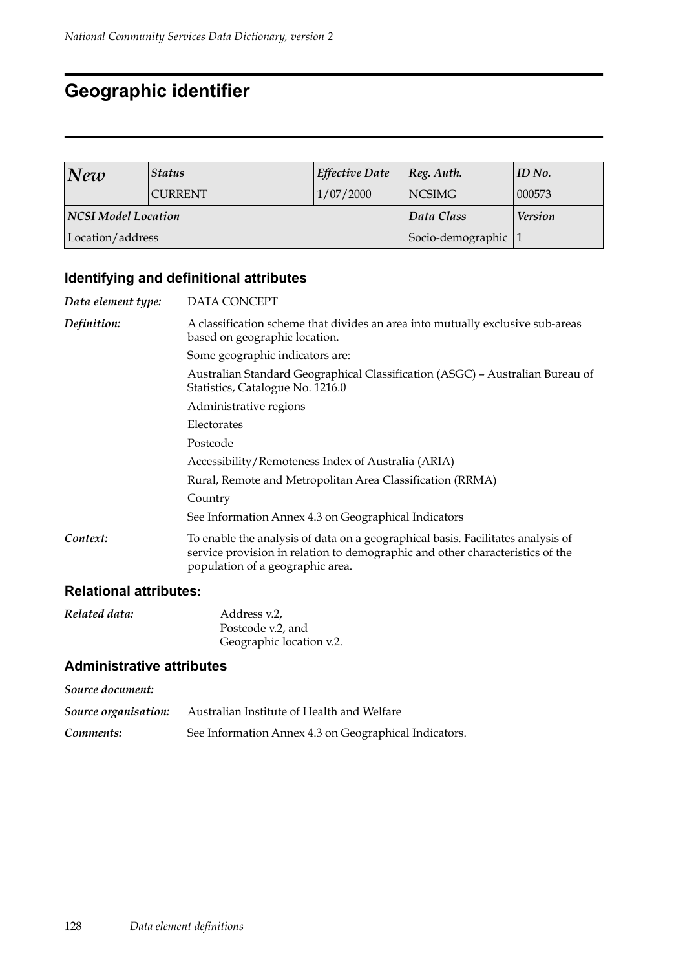## **Geographic identifier**

| New                 | <b>Status</b>  | <b>Effective Date</b> | $ Reg.$ Auth.       | ID No. |
|---------------------|----------------|-----------------------|---------------------|--------|
|                     | <b>CURRENT</b> | 1/07/2000             | <b>NCSIMG</b>       | 000573 |
| NCSI Model Location |                | Data Class            | <b>Version</b>      |        |
| Location/address    |                |                       | Socio-demographic 1 |        |

## **Identifying and definitional attributes**

| Data element type: | DATA CONCEPT                                                                                                                                                                                         |
|--------------------|------------------------------------------------------------------------------------------------------------------------------------------------------------------------------------------------------|
| Definition:        | A classification scheme that divides an area into mutually exclusive sub-areas<br>based on geographic location.                                                                                      |
|                    | Some geographic indicators are:                                                                                                                                                                      |
|                    | Australian Standard Geographical Classification (ASGC) - Australian Bureau of<br>Statistics, Catalogue No. 1216.0                                                                                    |
|                    | Administrative regions                                                                                                                                                                               |
|                    | Electorates                                                                                                                                                                                          |
|                    | Postcode                                                                                                                                                                                             |
|                    | Accessibility/Remoteness Index of Australia (ARIA)                                                                                                                                                   |
|                    | Rural, Remote and Metropolitan Area Classification (RRMA)                                                                                                                                            |
|                    | Country                                                                                                                                                                                              |
|                    | See Information Annex 4.3 on Geographical Indicators                                                                                                                                                 |
| Context:           | To enable the analysis of data on a geographical basis. Facilitates analysis of<br>service provision in relation to demographic and other characteristics of the<br>population of a geographic area. |

### **Relational attributes:**

| Related data: | Address v.2,             |
|---------------|--------------------------|
|               | Postcode v.2, and        |
|               | Geographic location v.2. |

| Source document:     |                                                       |
|----------------------|-------------------------------------------------------|
| Source organisation: | Australian Institute of Health and Welfare            |
| Comments:            | See Information Annex 4.3 on Geographical Indicators. |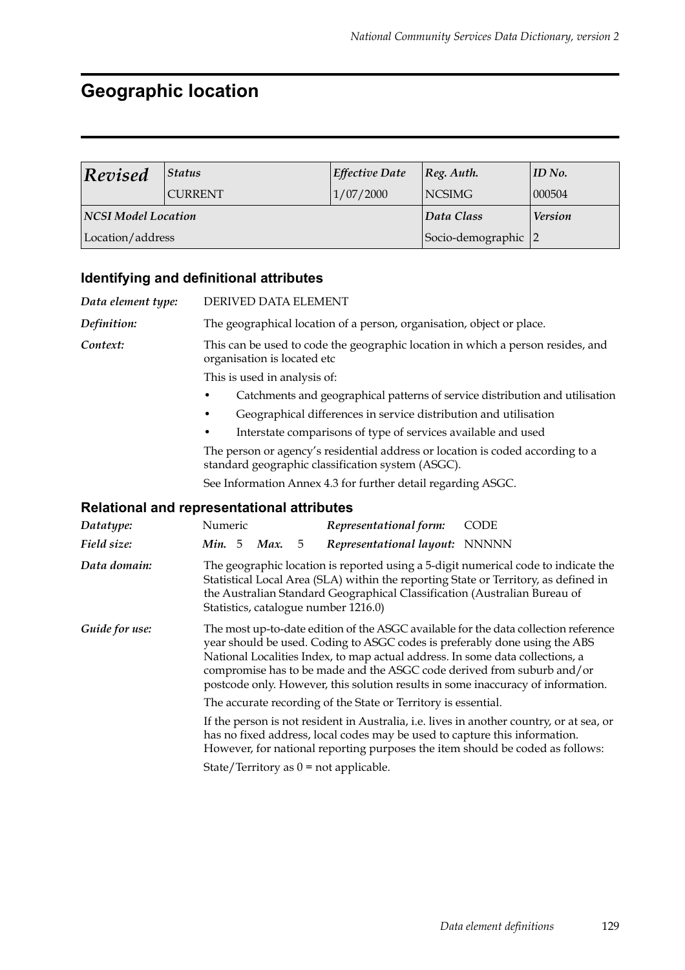# **Geographic location**

| Revised             | <b>Status</b>  | Effective Date | Reg. Author.        | ID No. |
|---------------------|----------------|----------------|---------------------|--------|
|                     | <b>CURRENT</b> | 1/07/2000      | NCSIMG              | 000504 |
| NCSI Model Location |                | Data Class     | <b>Version</b>      |        |
| Location/address    |                |                | Socio-demographic 2 |        |

## **Identifying and definitional attributes**

| Data element type: | DERIVED DATA ELEMENT                                                                                                                                                                                                                                                                                                                                                                                             |  |
|--------------------|------------------------------------------------------------------------------------------------------------------------------------------------------------------------------------------------------------------------------------------------------------------------------------------------------------------------------------------------------------------------------------------------------------------|--|
| Definition:        | The geographical location of a person, organisation, object or place.                                                                                                                                                                                                                                                                                                                                            |  |
| Context:           | This can be used to code the geographic location in which a person resides, and<br>organisation is located etc                                                                                                                                                                                                                                                                                                   |  |
|                    | This is used in analysis of:                                                                                                                                                                                                                                                                                                                                                                                     |  |
|                    | Catchments and geographical patterns of service distribution and utilisation                                                                                                                                                                                                                                                                                                                                     |  |
|                    | Geographical differences in service distribution and utilisation                                                                                                                                                                                                                                                                                                                                                 |  |
|                    | Interstate comparisons of type of services available and used                                                                                                                                                                                                                                                                                                                                                    |  |
|                    | The person or agency's residential address or location is coded according to a<br>standard geographic classification system (ASGC).                                                                                                                                                                                                                                                                              |  |
|                    | See Information Annex 4.3 for further detail regarding ASGC.                                                                                                                                                                                                                                                                                                                                                     |  |
|                    | <b>Relational and representational attributes</b>                                                                                                                                                                                                                                                                                                                                                                |  |
| Datatype:          | Numeric<br>Representational form:<br><b>CODE</b>                                                                                                                                                                                                                                                                                                                                                                 |  |
| Field size:        | Min. 5 Max.<br>Representational layout: NNNNN<br>5                                                                                                                                                                                                                                                                                                                                                               |  |
| Data domain:       | The geographic location is reported using a 5-digit numerical code to indicate the<br>Statistical Local Area (SLA) within the reporting State or Territory, as defined in<br>the Australian Standard Geographical Classification (Australian Bureau of<br>Statistics, catalogue number 1216.0)                                                                                                                   |  |
| Guide for use:     | The most up-to-date edition of the ASGC available for the data collection reference<br>year should be used. Coding to ASGC codes is preferably done using the ABS<br>National Localities Index, to map actual address. In some data collections, a<br>compromise has to be made and the ASGC code derived from suburb and/or<br>postcode only. However, this solution results in some inaccuracy of information. |  |
|                    | The accurate recording of the State or Territory is essential.                                                                                                                                                                                                                                                                                                                                                   |  |
|                    | If the person is not resident in Australia, i.e. lives in another country, or at sea, or<br>has no fixed address, local codes may be used to capture this information.<br>However, for national reporting purposes the item should be coded as follows:                                                                                                                                                          |  |
|                    | State/Territory as $0 = not$ applicable.                                                                                                                                                                                                                                                                                                                                                                         |  |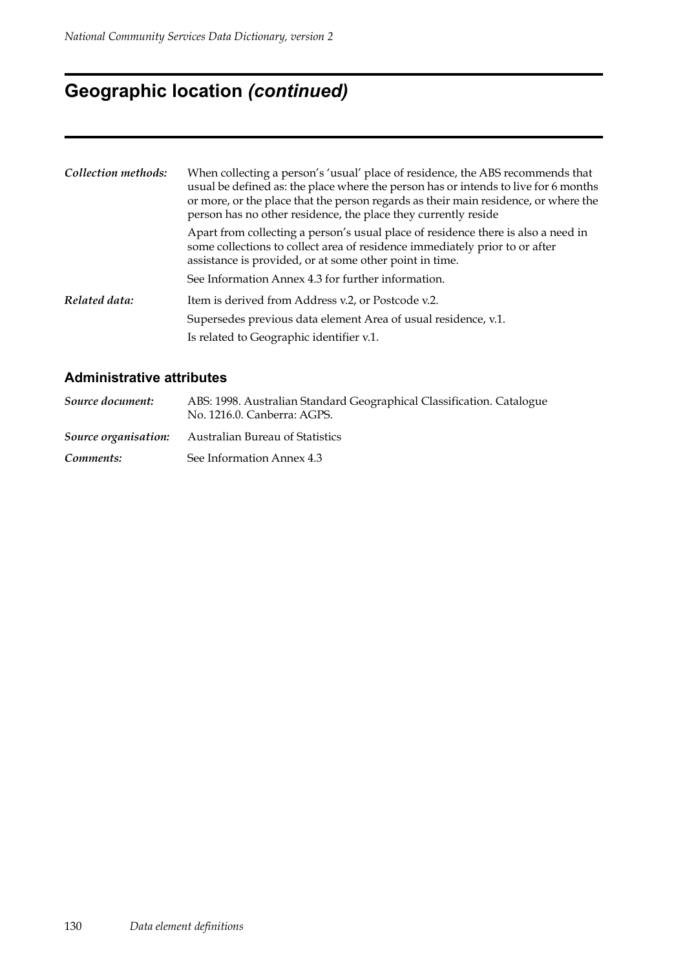# **Geographic location** *(continued)*

| Collection methods: | When collecting a person's 'usual' place of residence, the ABS recommends that<br>usual be defined as: the place where the person has or intends to live for 6 months<br>or more, or the place that the person regards as their main residence, or where the<br>person has no other residence, the place they currently reside |
|---------------------|--------------------------------------------------------------------------------------------------------------------------------------------------------------------------------------------------------------------------------------------------------------------------------------------------------------------------------|
|                     | Apart from collecting a person's usual place of residence there is also a need in<br>some collections to collect area of residence immediately prior to or after<br>assistance is provided, or at some other point in time.                                                                                                    |
|                     | See Information Annex 4.3 for further information.                                                                                                                                                                                                                                                                             |
| Related data:       | Item is derived from Address v.2, or Postcode v.2.                                                                                                                                                                                                                                                                             |
|                     | Supersedes previous data element Area of usual residence, v.1.                                                                                                                                                                                                                                                                 |
|                     | Is related to Geographic identifier v.1.                                                                                                                                                                                                                                                                                       |

| Source document:     | ABS: 1998. Australian Standard Geographical Classification. Catalogue<br>No. 1216.0. Canberra: AGPS. |
|----------------------|------------------------------------------------------------------------------------------------------|
| Source organisation: | Australian Bureau of Statistics                                                                      |
| Comments:            | See Information Annex 4.3                                                                            |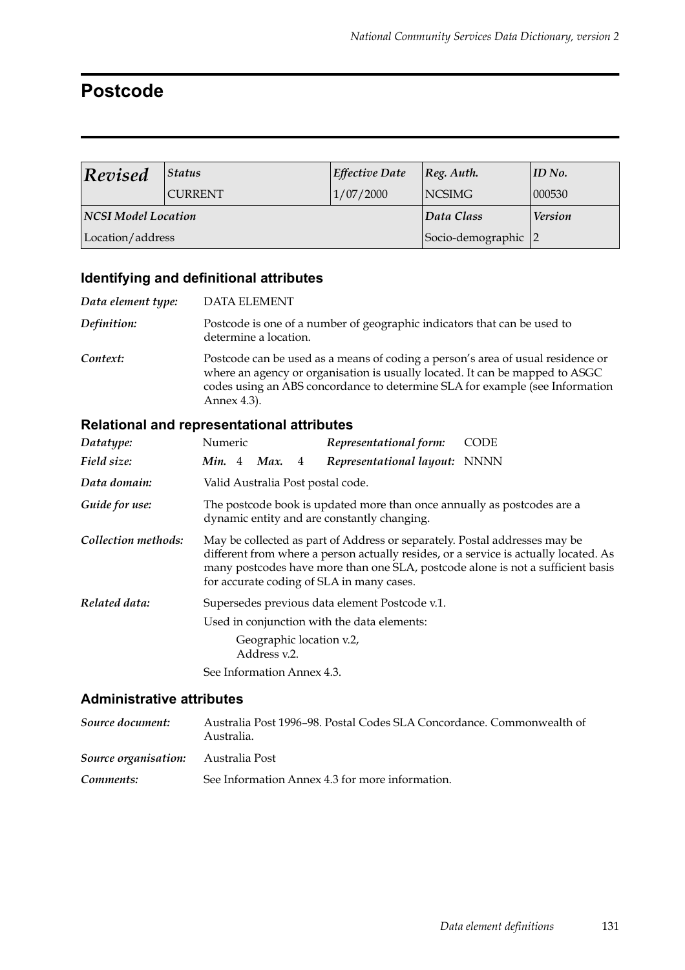## **Postcode**

| $\vert$ Revised            | <b>Status</b>  | <b>Effective Date</b> | [Reg. Author.       | ID No.         |
|----------------------------|----------------|-----------------------|---------------------|----------------|
|                            | <b>CURRENT</b> | 1/07/2000             | <b>NCSIMG</b>       | 000530         |
| <b>NCSI Model Location</b> |                |                       | Data Class          | <b>Version</b> |
| Location/address           |                |                       | Socio-demographic 2 |                |

## **Identifying and definitional attributes**

| Data element type: | <b>DATA ELEMENT</b>                                                                                                                                                                                                                                            |
|--------------------|----------------------------------------------------------------------------------------------------------------------------------------------------------------------------------------------------------------------------------------------------------------|
| Definition:        | Postcode is one of a number of geographic indicators that can be used to<br>determine a location.                                                                                                                                                              |
| Context:           | Postcode can be used as a means of coding a person's area of usual residence or<br>where an agency or organisation is usually located. It can be mapped to ASGC<br>codes using an ABS concordance to determine SLA for example (see Information<br>Annex 4.3). |

## **Relational and representational attributes**

| Datatype:           | Numeric                                                                                                                |  |                                          |   | Representational form:                                                                                                  | <b>CODE</b>                                                                                                                                                             |
|---------------------|------------------------------------------------------------------------------------------------------------------------|--|------------------------------------------|---|-------------------------------------------------------------------------------------------------------------------------|-------------------------------------------------------------------------------------------------------------------------------------------------------------------------|
| Field size:         | <b>Min.</b> 4                                                                                                          |  | Max.                                     | 4 | Representational layout: NNNN                                                                                           |                                                                                                                                                                         |
| Data domain:        |                                                                                                                        |  |                                          |   | Valid Australia Post postal code.                                                                                       |                                                                                                                                                                         |
| Guide for use:      | The postcode book is updated more than once annually as postcodes are a<br>dynamic entity and are constantly changing. |  |                                          |   |                                                                                                                         |                                                                                                                                                                         |
| Collection methods: |                                                                                                                        |  |                                          |   | May be collected as part of Address or separately. Postal addresses may be<br>for accurate coding of SLA in many cases. | different from where a person actually resides, or a service is actually located. As<br>many postcodes have more than one SLA, postcode alone is not a sufficient basis |
| Related data:       |                                                                                                                        |  |                                          |   | Supersedes previous data element Postcode v.1.                                                                          |                                                                                                                                                                         |
|                     | Used in conjunction with the data elements:                                                                            |  |                                          |   |                                                                                                                         |                                                                                                                                                                         |
|                     |                                                                                                                        |  | Geographic location v.2,<br>Address v.2. |   |                                                                                                                         |                                                                                                                                                                         |
|                     |                                                                                                                        |  | See Information Annex 4.3.               |   |                                                                                                                         |                                                                                                                                                                         |

| Source document:                           | Australia Post 1996–98. Postal Codes SLA Concordance. Commonwealth of<br>Australia. |
|--------------------------------------------|-------------------------------------------------------------------------------------|
| <b>Source organisation:</b> Australia Post |                                                                                     |
| Comments:                                  | See Information Annex 4.3 for more information.                                     |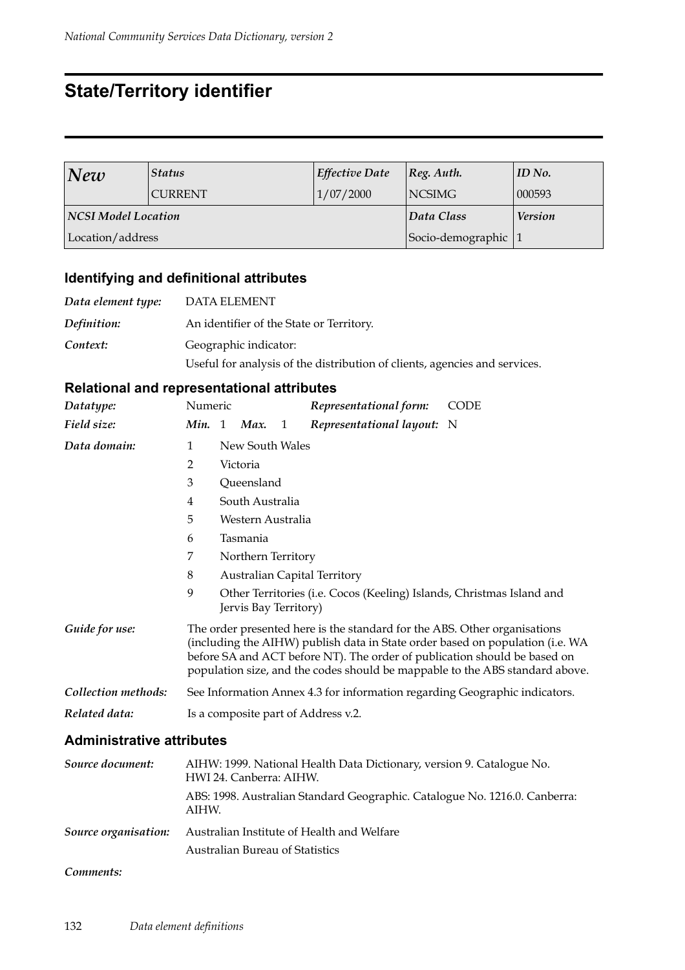## **State/Territory identifier**

| New                 | <b>Status</b>  | <b>Effective Date</b> | $ Reg.$ Auth.     | ID No.         |
|---------------------|----------------|-----------------------|-------------------|----------------|
|                     | <b>CURRENT</b> | 1/07/2000             | <b>NCSIMG</b>     | 000593         |
| NCSI Model Location |                |                       | Data Class        | <b>Version</b> |
| Location/address    |                |                       | Socio-demographic |                |

## **Identifying and definitional attributes**

| Data element type: | DATA ELEMENT                                                                                        |
|--------------------|-----------------------------------------------------------------------------------------------------|
| Definition:        | An identifier of the State or Territory.                                                            |
| Context:           | Geographic indicator:<br>Useful for analysis of the distribution of clients, agencies and services. |

### **Relational and representational attributes**

| Datatype:           | Numeric                                                                    |                                                                                                                                                                                                                                                                                                                         |                       |   | Representational form:                                                | CODE |  |
|---------------------|----------------------------------------------------------------------------|-------------------------------------------------------------------------------------------------------------------------------------------------------------------------------------------------------------------------------------------------------------------------------------------------------------------------|-----------------------|---|-----------------------------------------------------------------------|------|--|
| Field size:         |                                                                            |                                                                                                                                                                                                                                                                                                                         | Min. 1 Max.           | 1 | Representational layout: N                                            |      |  |
| Data domain:        | 1                                                                          |                                                                                                                                                                                                                                                                                                                         | New South Wales       |   |                                                                       |      |  |
|                     | 2                                                                          |                                                                                                                                                                                                                                                                                                                         | Victoria              |   |                                                                       |      |  |
|                     | 3                                                                          |                                                                                                                                                                                                                                                                                                                         | Queensland            |   |                                                                       |      |  |
|                     | 4                                                                          |                                                                                                                                                                                                                                                                                                                         | South Australia       |   |                                                                       |      |  |
|                     | 5                                                                          |                                                                                                                                                                                                                                                                                                                         | Western Australia     |   |                                                                       |      |  |
|                     | 6                                                                          | Tasmania                                                                                                                                                                                                                                                                                                                |                       |   |                                                                       |      |  |
|                     | 7                                                                          | Northern Territory                                                                                                                                                                                                                                                                                                      |                       |   |                                                                       |      |  |
|                     | 8                                                                          |                                                                                                                                                                                                                                                                                                                         |                       |   | <b>Australian Capital Territory</b>                                   |      |  |
|                     | 9                                                                          |                                                                                                                                                                                                                                                                                                                         | Jervis Bay Territory) |   | Other Territories (i.e. Cocos (Keeling) Islands, Christmas Island and |      |  |
| Guide for use:      |                                                                            | The order presented here is the standard for the ABS. Other organisations<br>(including the AIHW) publish data in State order based on population (i.e. WA<br>before SA and ACT before NT). The order of publication should be based on<br>population size, and the codes should be mappable to the ABS standard above. |                       |   |                                                                       |      |  |
| Collection methods: | See Information Annex 4.3 for information regarding Geographic indicators. |                                                                                                                                                                                                                                                                                                                         |                       |   |                                                                       |      |  |
| Related data:       | Is a composite part of Address v.2.                                        |                                                                                                                                                                                                                                                                                                                         |                       |   |                                                                       |      |  |

#### **Administrative attributes**

| Source document:            | AIHW: 1999. National Health Data Dictionary, version 9. Catalogue No.<br>HWI 24. Canberra: AIHW. |
|-----------------------------|--------------------------------------------------------------------------------------------------|
|                             | ABS: 1998. Australian Standard Geographic. Catalogue No. 1216.0. Canberra:<br>AIHW.              |
| <i>Source organisation:</i> | Australian Institute of Health and Welfare<br><b>Australian Bureau of Statistics</b>             |

#### *Comments:*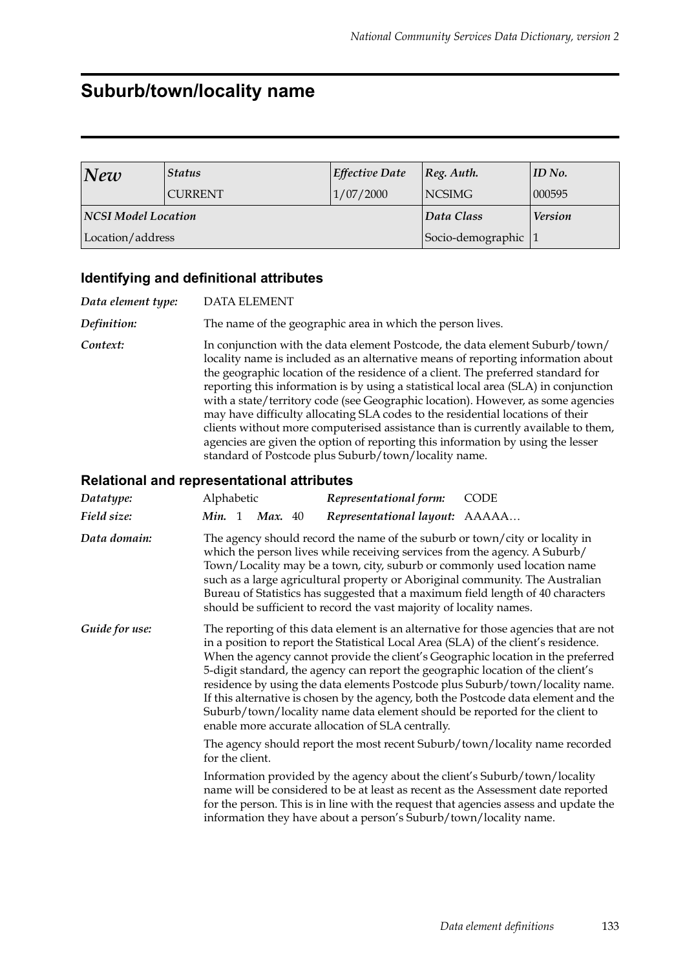## **Suburb/town/locality name**

| New                 | <b>Status</b>  | <b>Effective Date</b> | $ Reg.$ Auth.     | $ID$ No.       |
|---------------------|----------------|-----------------------|-------------------|----------------|
|                     | <b>CURRENT</b> | 1/07/2000             | <b>NCSIMG</b>     | 000595         |
| NCSI Model Location |                |                       | Data Class        | <b>Version</b> |
| Location/address    |                |                       | Socio-demographic |                |

#### **Identifying and definitional attributes**

*Data element type:* DATA ELEMENT

*Definition:* The name of the geographic area in which the person lives.

*Context:* In conjunction with the data element Postcode, the data element Suburb/town/ locality name is included as an alternative means of reporting information about the geographic location of the residence of a client. The preferred standard for reporting this information is by using a statistical local area (SLA) in conjunction with a state/territory code (see Geographic location). However, as some agencies may have difficulty allocating SLA codes to the residential locations of their clients without more computerised assistance than is currently available to them, agencies are given the option of reporting this information by using the lesser standard of Postcode plus Suburb/town/locality name.

| Datatype:      | Alphabetic                                                                                                                                                                                                                                                                                                                                                                                                                                                                                                                                                                                                                                                     | Representational form:         | <b>CODE</b> |  |  |  |  |
|----------------|----------------------------------------------------------------------------------------------------------------------------------------------------------------------------------------------------------------------------------------------------------------------------------------------------------------------------------------------------------------------------------------------------------------------------------------------------------------------------------------------------------------------------------------------------------------------------------------------------------------------------------------------------------------|--------------------------------|-------------|--|--|--|--|
| Field size:    | Min. 1<br>Max. $40$                                                                                                                                                                                                                                                                                                                                                                                                                                                                                                                                                                                                                                            | Representational layout: AAAAA |             |  |  |  |  |
| Data domain:   | The agency should record the name of the suburb or town/city or locality in<br>which the person lives while receiving services from the agency. A Suburb/<br>Town/Locality may be a town, city, suburb or commonly used location name<br>such as a large agricultural property or Aboriginal community. The Australian<br>Bureau of Statistics has suggested that a maximum field length of 40 characters<br>should be sufficient to record the vast majority of locality names.                                                                                                                                                                               |                                |             |  |  |  |  |
| Guide for use: | The reporting of this data element is an alternative for those agencies that are not<br>in a position to report the Statistical Local Area (SLA) of the client's residence.<br>When the agency cannot provide the client's Geographic location in the preferred<br>5-digit standard, the agency can report the geographic location of the client's<br>residence by using the data elements Postcode plus Suburb/town/locality name.<br>If this alternative is chosen by the agency, both the Postcode data element and the<br>Suburb/town/locality name data element should be reported for the client to<br>enable more accurate allocation of SLA centrally. |                                |             |  |  |  |  |
|                | The agency should report the most recent Suburb/town/locality name recorded<br>for the client.                                                                                                                                                                                                                                                                                                                                                                                                                                                                                                                                                                 |                                |             |  |  |  |  |
|                | Information provided by the agency about the client's Suburb/town/locality<br>name will be considered to be at least as recent as the Assessment date reported<br>for the person. This is in line with the request that agencies assess and update the<br>information they have about a person's Suburb/town/locality name.                                                                                                                                                                                                                                                                                                                                    |                                |             |  |  |  |  |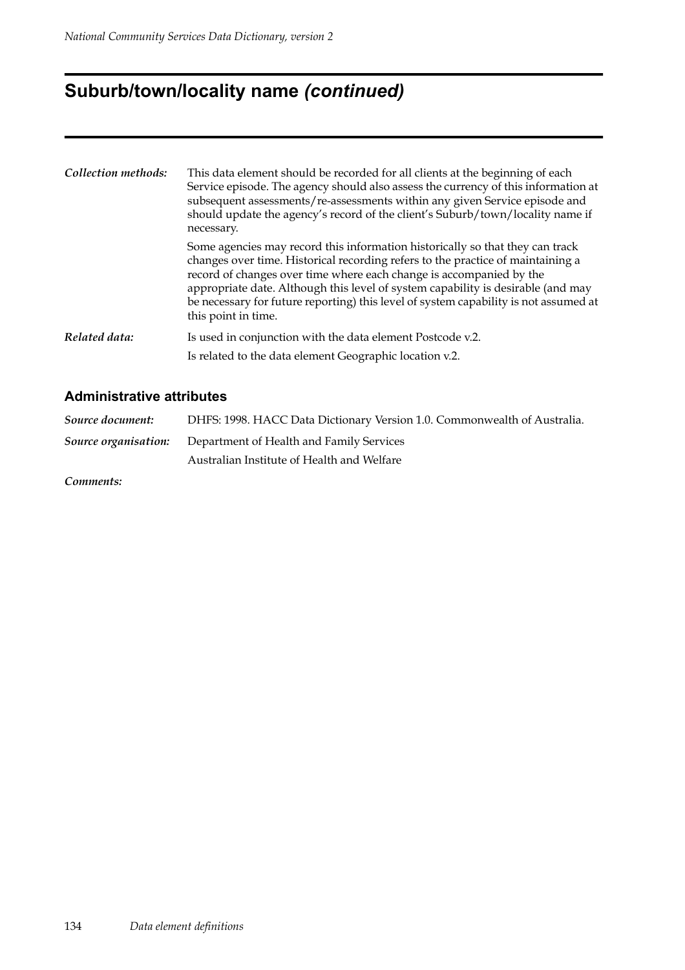# **Suburb/town/locality name** *(continued)*

| Collection methods: | This data element should be recorded for all clients at the beginning of each<br>Service episode. The agency should also assess the currency of this information at<br>subsequent assessments/re-assessments within any given Service episode and<br>should update the agency's record of the client's Suburb/town/locality name if<br>necessary.                                                                                          |
|---------------------|--------------------------------------------------------------------------------------------------------------------------------------------------------------------------------------------------------------------------------------------------------------------------------------------------------------------------------------------------------------------------------------------------------------------------------------------|
|                     | Some agencies may record this information historically so that they can track<br>changes over time. Historical recording refers to the practice of maintaining a<br>record of changes over time where each change is accompanied by the<br>appropriate date. Although this level of system capability is desirable (and may<br>be necessary for future reporting) this level of system capability is not assumed at<br>this point in time. |
| Related data:       | Is used in conjunction with the data element Postcode v.2.                                                                                                                                                                                                                                                                                                                                                                                 |
|                     | Is related to the data element Geographic location v.2.                                                                                                                                                                                                                                                                                                                                                                                    |

#### **Administrative attributes**

| DHFS: 1998. HACC Data Dictionary Version 1.0. Commonwealth of Australia. |
|--------------------------------------------------------------------------|
| <b>Source organisation:</b> Department of Health and Family Services     |
| Australian Institute of Health and Welfare                               |
|                                                                          |

*Comments:*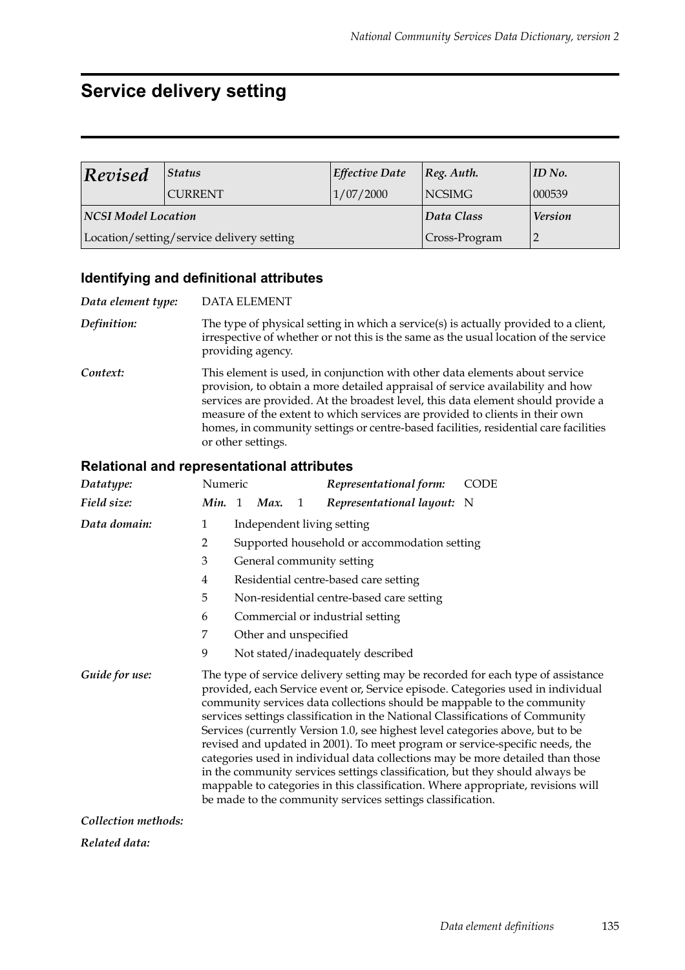# **Service delivery setting**

| Revised<br><b>Status</b><br><b>CURRENT</b> |                                           | <b>Effective Date</b> | $ Reg.$ Auth.  | $ID$ No. |
|--------------------------------------------|-------------------------------------------|-----------------------|----------------|----------|
|                                            |                                           | 1/07/2000             | <b>NCSIMG</b>  | 000539   |
| NCSI Model Location                        |                                           | Data Class            | <b>Version</b> |          |
|                                            | Location/setting/service delivery setting | Cross-Program         |                |          |

## **Identifying and definitional attributes**

| Data element type: | <b>DATA ELEMENT</b>                                                                                                                                                                                                                                                                                                                                                                                                                             |
|--------------------|-------------------------------------------------------------------------------------------------------------------------------------------------------------------------------------------------------------------------------------------------------------------------------------------------------------------------------------------------------------------------------------------------------------------------------------------------|
| Definition:        | The type of physical setting in which a service(s) is actually provided to a client,<br>irrespective of whether or not this is the same as the usual location of the service<br>providing agency.                                                                                                                                                                                                                                               |
| Context:           | This element is used, in conjunction with other data elements about service<br>provision, to obtain a more detailed appraisal of service availability and how<br>services are provided. At the broadest level, this data element should provide a<br>measure of the extent to which services are provided to clients in their own<br>homes, in community settings or centre-based facilities, residential care facilities<br>or other settings. |

| Datatype:           | Numeric |                                   |      |   | Representational form:                                                                                                                                                                                                                                                                                                                                                                                                                                                   | <b>CODE</b>                                                                                                                                                                                                                                                                                                                               |  |
|---------------------|---------|-----------------------------------|------|---|--------------------------------------------------------------------------------------------------------------------------------------------------------------------------------------------------------------------------------------------------------------------------------------------------------------------------------------------------------------------------------------------------------------------------------------------------------------------------|-------------------------------------------------------------------------------------------------------------------------------------------------------------------------------------------------------------------------------------------------------------------------------------------------------------------------------------------|--|
| Field size:         | Min. 1  |                                   | Max. | 1 | Representational layout: N                                                                                                                                                                                                                                                                                                                                                                                                                                               |                                                                                                                                                                                                                                                                                                                                           |  |
| Data domain:        | 1       | Independent living setting        |      |   |                                                                                                                                                                                                                                                                                                                                                                                                                                                                          |                                                                                                                                                                                                                                                                                                                                           |  |
|                     | 2       |                                   |      |   | Supported household or accommodation setting                                                                                                                                                                                                                                                                                                                                                                                                                             |                                                                                                                                                                                                                                                                                                                                           |  |
|                     | 3       | General community setting         |      |   |                                                                                                                                                                                                                                                                                                                                                                                                                                                                          |                                                                                                                                                                                                                                                                                                                                           |  |
|                     | 4       |                                   |      |   | Residential centre-based care setting                                                                                                                                                                                                                                                                                                                                                                                                                                    |                                                                                                                                                                                                                                                                                                                                           |  |
|                     | 5       |                                   |      |   | Non-residential centre-based care setting                                                                                                                                                                                                                                                                                                                                                                                                                                |                                                                                                                                                                                                                                                                                                                                           |  |
|                     | 6       |                                   |      |   | Commercial or industrial setting                                                                                                                                                                                                                                                                                                                                                                                                                                         |                                                                                                                                                                                                                                                                                                                                           |  |
|                     | 7       | Other and unspecified             |      |   |                                                                                                                                                                                                                                                                                                                                                                                                                                                                          |                                                                                                                                                                                                                                                                                                                                           |  |
|                     | 9       | Not stated/inadequately described |      |   |                                                                                                                                                                                                                                                                                                                                                                                                                                                                          |                                                                                                                                                                                                                                                                                                                                           |  |
| Guide for use:      |         |                                   |      |   | community services data collections should be mappable to the community<br>services settings classification in the National Classifications of Community<br>Services (currently Version 1.0, see highest level categories above, but to be<br>revised and updated in 2001). To meet program or service-specific needs, the<br>in the community services settings classification, but they should always be<br>be made to the community services settings classification. | The type of service delivery setting may be recorded for each type of assistance<br>provided, each Service event or, Service episode. Categories used in individual<br>categories used in individual data collections may be more detailed than those<br>mappable to categories in this classification. Where appropriate, revisions will |  |
| Collection methods: |         |                                   |      |   |                                                                                                                                                                                                                                                                                                                                                                                                                                                                          |                                                                                                                                                                                                                                                                                                                                           |  |
| Related data:       |         |                                   |      |   |                                                                                                                                                                                                                                                                                                                                                                                                                                                                          |                                                                                                                                                                                                                                                                                                                                           |  |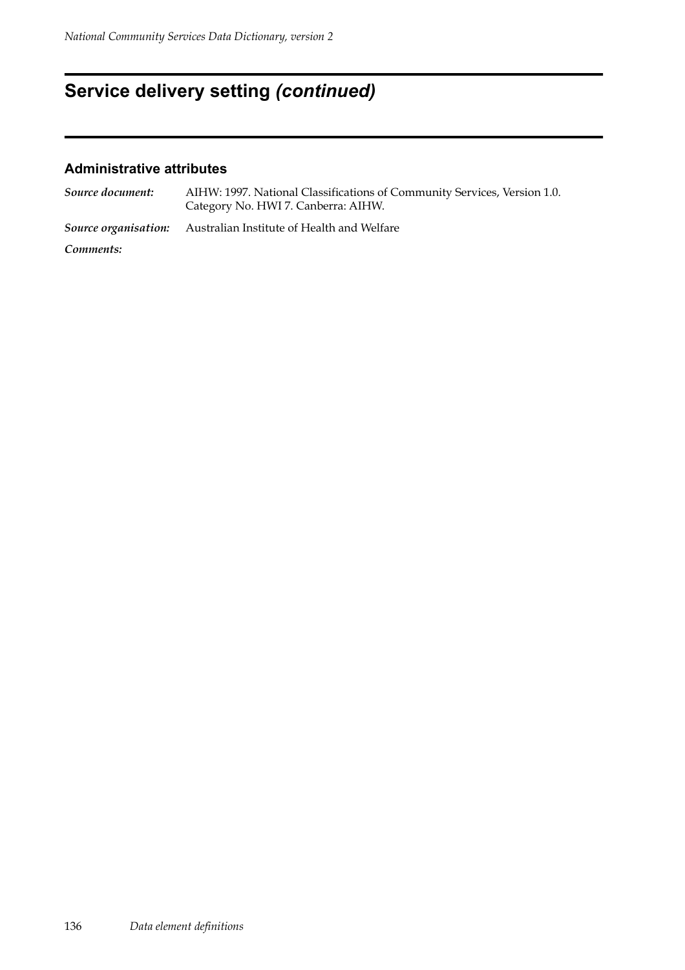# **Service delivery setting** *(continued)*

| Source document: | AIHW: 1997. National Classifications of Community Services, Version 1.0.<br>Category No. HWI 7. Canberra: AIHW. |
|------------------|-----------------------------------------------------------------------------------------------------------------|
|                  | <b>Source organisation:</b> Australian Institute of Health and Welfare                                          |
| Comments:        |                                                                                                                 |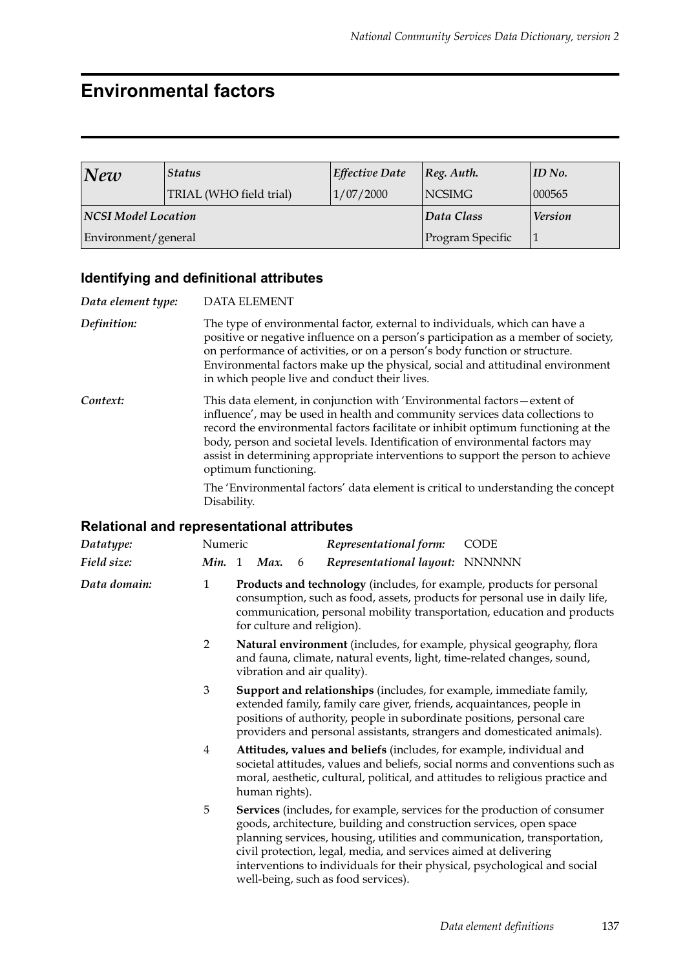## **Environmental factors**

| New                        | <b>Status</b>           | <b>Effective Date</b> | $\vert$ Reg. Auth. | $ID$ No. |
|----------------------------|-------------------------|-----------------------|--------------------|----------|
|                            | TRIAL (WHO field trial) | 1/07/2000             | <b>NCSIMG</b>      | 000565   |
| <b>NCSI Model Location</b> |                         | Data Class            | <b>Version</b>     |          |
| Environment/general        |                         | Program Specific      |                    |          |

### **Identifying and definitional attributes**

| Data element type: | <b>DATA ELEMENT</b>                                                                                                                                                                                                                                                                                                                                                                                                                         |  |  |  |  |
|--------------------|---------------------------------------------------------------------------------------------------------------------------------------------------------------------------------------------------------------------------------------------------------------------------------------------------------------------------------------------------------------------------------------------------------------------------------------------|--|--|--|--|
| Definition:        | The type of environmental factor, external to individuals, which can have a<br>positive or negative influence on a person's participation as a member of society,<br>on performance of activities, or on a person's body function or structure.<br>Environmental factors make up the physical, social and attitudinal environment<br>in which people live and conduct their lives.                                                          |  |  |  |  |
| Context:           | This data element, in conjunction with 'Environmental factors – extent of<br>influence', may be used in health and community services data collections to<br>record the environmental factors facilitate or inhibit optimum functioning at the<br>body, person and societal levels. Identification of environmental factors may<br>assist in determining appropriate interventions to support the person to achieve<br>optimum functioning. |  |  |  |  |
|                    | The 'Environmental factors' data element is critical to understanding the concept<br>Disability.                                                                                                                                                                                                                                                                                                                                            |  |  |  |  |

| Datatype:    | Numeric        |                                                                                                                                                                                                                                                                                                                                                                                                                     |                                                                                                                                                                                                                                                          |   | Representational form:          | <b>CODE</b> |  |
|--------------|----------------|---------------------------------------------------------------------------------------------------------------------------------------------------------------------------------------------------------------------------------------------------------------------------------------------------------------------------------------------------------------------------------------------------------------------|----------------------------------------------------------------------------------------------------------------------------------------------------------------------------------------------------------------------------------------------------------|---|---------------------------------|-------------|--|
| Field size:  | Min. 1         |                                                                                                                                                                                                                                                                                                                                                                                                                     | Max.                                                                                                                                                                                                                                                     | 6 | Representational layout: NNNNNN |             |  |
| Data domain: | $\mathbf{1}$   | Products and technology (includes, for example, products for personal<br>consumption, such as food, assets, products for personal use in daily life,<br>communication, personal mobility transportation, education and products<br>for culture and religion).                                                                                                                                                       |                                                                                                                                                                                                                                                          |   |                                 |             |  |
|              | $\overline{2}$ |                                                                                                                                                                                                                                                                                                                                                                                                                     | Natural environment (includes, for example, physical geography, flora<br>and fauna, climate, natural events, light, time-related changes, sound,<br>vibration and air quality).                                                                          |   |                                 |             |  |
|              | 3              | Support and relationships (includes, for example, immediate family,<br>extended family, family care giver, friends, acquaintances, people in<br>positions of authority, people in subordinate positions, personal care<br>providers and personal assistants, strangers and domesticated animals).                                                                                                                   |                                                                                                                                                                                                                                                          |   |                                 |             |  |
|              | 4              |                                                                                                                                                                                                                                                                                                                                                                                                                     | Attitudes, values and beliefs (includes, for example, individual and<br>societal attitudes, values and beliefs, social norms and conventions such as<br>moral, aesthetic, cultural, political, and attitudes to religious practice and<br>human rights). |   |                                 |             |  |
|              | 5              | Services (includes, for example, services for the production of consumer<br>goods, architecture, building and construction services, open space<br>planning services, housing, utilities and communication, transportation,<br>civil protection, legal, media, and services aimed at delivering<br>interventions to individuals for their physical, psychological and social<br>well-being, such as food services). |                                                                                                                                                                                                                                                          |   |                                 |             |  |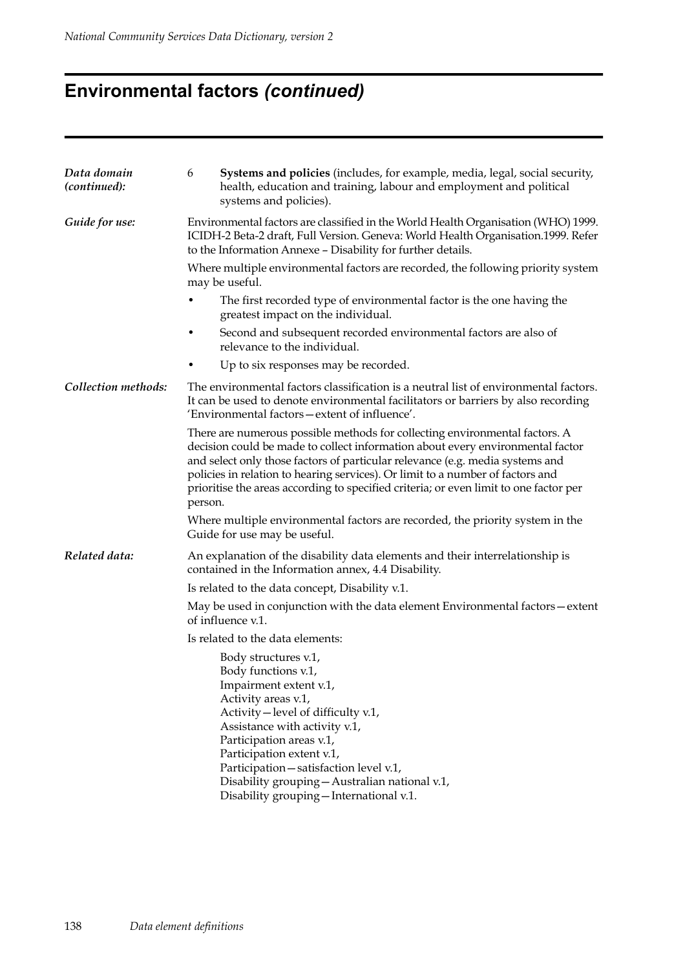# **Environmental factors** *(continued)*

| Data domain<br>(continued): | Systems and policies (includes, for example, media, legal, social security,<br>6<br>health, education and training, labour and employment and political<br>systems and policies).                                                                                                                                                                                                                                                    |  |  |  |  |  |
|-----------------------------|--------------------------------------------------------------------------------------------------------------------------------------------------------------------------------------------------------------------------------------------------------------------------------------------------------------------------------------------------------------------------------------------------------------------------------------|--|--|--|--|--|
| Guide for use:              | Environmental factors are classified in the World Health Organisation (WHO) 1999.<br>ICIDH-2 Beta-2 draft, Full Version. Geneva: World Health Organisation.1999. Refer<br>to the Information Annexe - Disability for further details.                                                                                                                                                                                                |  |  |  |  |  |
|                             | Where multiple environmental factors are recorded, the following priority system<br>may be useful.                                                                                                                                                                                                                                                                                                                                   |  |  |  |  |  |
|                             | The first recorded type of environmental factor is the one having the<br>greatest impact on the individual.                                                                                                                                                                                                                                                                                                                          |  |  |  |  |  |
|                             | Second and subsequent recorded environmental factors are also of<br>٠<br>relevance to the individual.                                                                                                                                                                                                                                                                                                                                |  |  |  |  |  |
|                             | Up to six responses may be recorded.                                                                                                                                                                                                                                                                                                                                                                                                 |  |  |  |  |  |
| Collection methods:         | The environmental factors classification is a neutral list of environmental factors.<br>It can be used to denote environmental facilitators or barriers by also recording<br>'Environmental factors-extent of influence'.                                                                                                                                                                                                            |  |  |  |  |  |
|                             | There are numerous possible methods for collecting environmental factors. A<br>decision could be made to collect information about every environmental factor<br>and select only those factors of particular relevance (e.g. media systems and<br>policies in relation to hearing services). Or limit to a number of factors and<br>prioritise the areas according to specified criteria; or even limit to one factor per<br>person. |  |  |  |  |  |
|                             | Where multiple environmental factors are recorded, the priority system in the<br>Guide for use may be useful.                                                                                                                                                                                                                                                                                                                        |  |  |  |  |  |
| Related data:               | An explanation of the disability data elements and their interrelationship is<br>contained in the Information annex, 4.4 Disability.                                                                                                                                                                                                                                                                                                 |  |  |  |  |  |
|                             | Is related to the data concept, Disability v.1.                                                                                                                                                                                                                                                                                                                                                                                      |  |  |  |  |  |
|                             | May be used in conjunction with the data element Environmental factors - extent<br>of influence v.1.                                                                                                                                                                                                                                                                                                                                 |  |  |  |  |  |
|                             | Is related to the data elements:                                                                                                                                                                                                                                                                                                                                                                                                     |  |  |  |  |  |
|                             | Body structures v.1,<br>Body functions v.1,<br>Impairment extent v.1,<br>Activity areas v.1,<br>Activity – level of difficulty v.1,<br>Assistance with activity v.1,<br>Participation areas v.1,<br>Participation extent v.1,<br>Participation - satisfaction level v.1,<br>Disability grouping - Australian national v.1,<br>Disability grouping - International v.1.                                                               |  |  |  |  |  |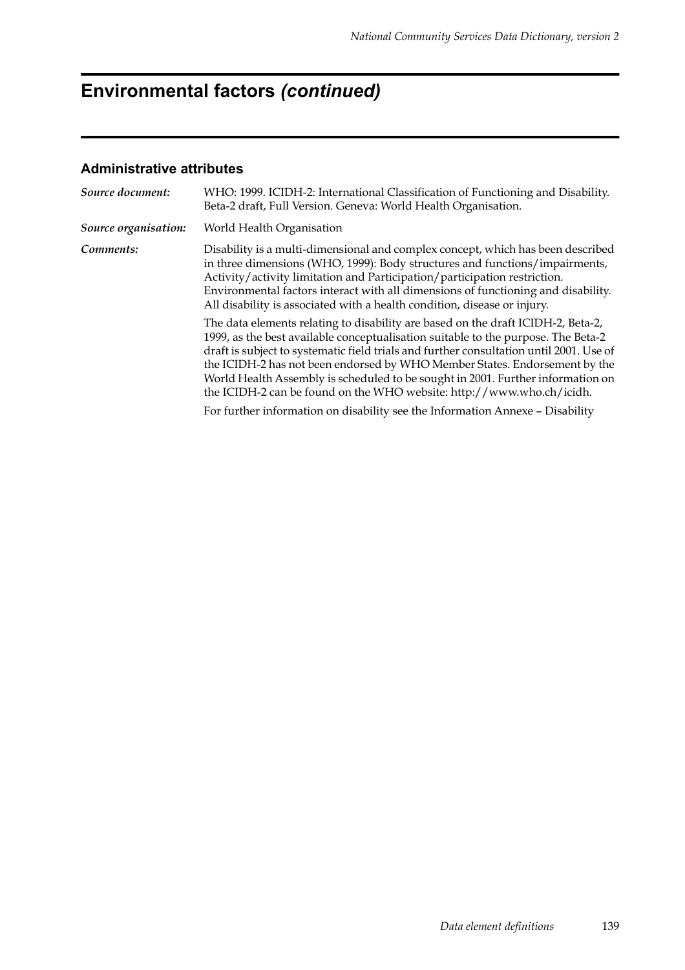# **Environmental factors** *(continued)*

| Source document:     | WHO: 1999. ICIDH-2: International Classification of Functioning and Disability.<br>Beta-2 draft, Full Version. Geneva: World Health Organisation.                                                                                                                                                                                                                                                                                                                                                          |
|----------------------|------------------------------------------------------------------------------------------------------------------------------------------------------------------------------------------------------------------------------------------------------------------------------------------------------------------------------------------------------------------------------------------------------------------------------------------------------------------------------------------------------------|
| Source organisation: | World Health Organisation                                                                                                                                                                                                                                                                                                                                                                                                                                                                                  |
| Comments:            | Disability is a multi-dimensional and complex concept, which has been described<br>in three dimensions (WHO, 1999): Body structures and functions/impairments,<br>Activity/activity limitation and Participation/participation restriction.<br>Environmental factors interact with all dimensions of functioning and disability.<br>All disability is associated with a health condition, disease or injury.                                                                                               |
|                      | The data elements relating to disability are based on the draft ICIDH-2, Beta-2,<br>1999, as the best available conceptualisation suitable to the purpose. The Beta-2<br>draft is subject to systematic field trials and further consultation until 2001. Use of<br>the ICIDH-2 has not been endorsed by WHO Member States. Endorsement by the<br>World Health Assembly is scheduled to be sought in 2001. Further information on<br>the ICIDH-2 can be found on the WHO website: http://www.who.ch/icidh. |
|                      | For further information on disability see the Information Annexe - Disability                                                                                                                                                                                                                                                                                                                                                                                                                              |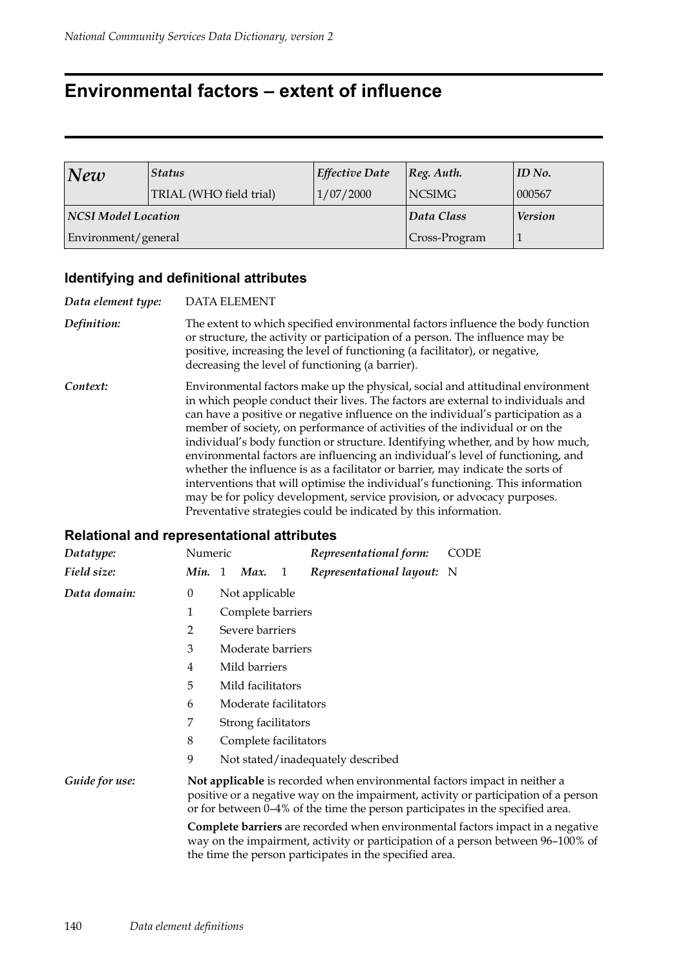## **Environmental factors – extent of influence**

| New                        | Status                  | <b>Effective Date</b> | $ Reg.$ Auth.  | ID No. |
|----------------------------|-------------------------|-----------------------|----------------|--------|
|                            | TRIAL (WHO field trial) | 1/07/2000             | <b>NCSIMG</b>  | 000567 |
| <b>NCSI Model Location</b> |                         | Data Class            | <b>Version</b> |        |
| Environment/general        |                         | Cross-Program         |                |        |

## **Identifying and definitional attributes**

| Data element type: | <b>DATA ELEMENT</b>                                                                                                                                                                                                                                                                                                                                                                                                                                                                                                                                                                                                                                                                                                                                                                                                            |
|--------------------|--------------------------------------------------------------------------------------------------------------------------------------------------------------------------------------------------------------------------------------------------------------------------------------------------------------------------------------------------------------------------------------------------------------------------------------------------------------------------------------------------------------------------------------------------------------------------------------------------------------------------------------------------------------------------------------------------------------------------------------------------------------------------------------------------------------------------------|
| Definition:        | The extent to which specified environmental factors influence the body function<br>or structure, the activity or participation of a person. The influence may be<br>positive, increasing the level of functioning (a facilitator), or negative,<br>decreasing the level of functioning (a barrier).                                                                                                                                                                                                                                                                                                                                                                                                                                                                                                                            |
| Context:           | Environmental factors make up the physical, social and attitudinal environment<br>in which people conduct their lives. The factors are external to individuals and<br>can have a positive or negative influence on the individual's participation as a<br>member of society, on performance of activities of the individual or on the<br>individual's body function or structure. Identifying whether, and by how much,<br>environmental factors are influencing an individual's level of functioning, and<br>whether the influence is as a facilitator or barrier, may indicate the sorts of<br>interventions that will optimise the individual's functioning. This information<br>may be for policy development, service provision, or advocacy purposes.<br>Preventative strategies could be indicated by this information. |

| Datatype:      | Numeric                                                                                                                                                                                                                                            |                       |                |   | Representational form:            | CODE |  |  |  |
|----------------|----------------------------------------------------------------------------------------------------------------------------------------------------------------------------------------------------------------------------------------------------|-----------------------|----------------|---|-----------------------------------|------|--|--|--|
| Field size:    | Min. 1                                                                                                                                                                                                                                             |                       | Max.           | 1 | Representational layout: N        |      |  |  |  |
| Data domain:   | $\theta$                                                                                                                                                                                                                                           |                       | Not applicable |   |                                   |      |  |  |  |
|                | 1                                                                                                                                                                                                                                                  | Complete barriers     |                |   |                                   |      |  |  |  |
|                | 2                                                                                                                                                                                                                                                  | Severe barriers       |                |   |                                   |      |  |  |  |
|                | 3                                                                                                                                                                                                                                                  | Moderate barriers     |                |   |                                   |      |  |  |  |
|                | 4                                                                                                                                                                                                                                                  | Mild barriers         |                |   |                                   |      |  |  |  |
|                | 5                                                                                                                                                                                                                                                  | Mild facilitators     |                |   |                                   |      |  |  |  |
|                | 6                                                                                                                                                                                                                                                  | Moderate facilitators |                |   |                                   |      |  |  |  |
|                | 7                                                                                                                                                                                                                                                  | Strong facilitators   |                |   |                                   |      |  |  |  |
|                | 8                                                                                                                                                                                                                                                  | Complete facilitators |                |   |                                   |      |  |  |  |
|                | 9                                                                                                                                                                                                                                                  |                       |                |   | Not stated/inadequately described |      |  |  |  |
| Guide for use: | Not applicable is recorded when environmental factors impact in neither a<br>positive or a negative way on the impairment, activity or participation of a person<br>or for between 0–4% of the time the person participates in the specified area. |                       |                |   |                                   |      |  |  |  |
|                | Complete barriers are recorded when environmental factors impact in a negative<br>way on the impairment, activity or participation of a person between 96-100% of<br>the time the person participates in the specified area.                       |                       |                |   |                                   |      |  |  |  |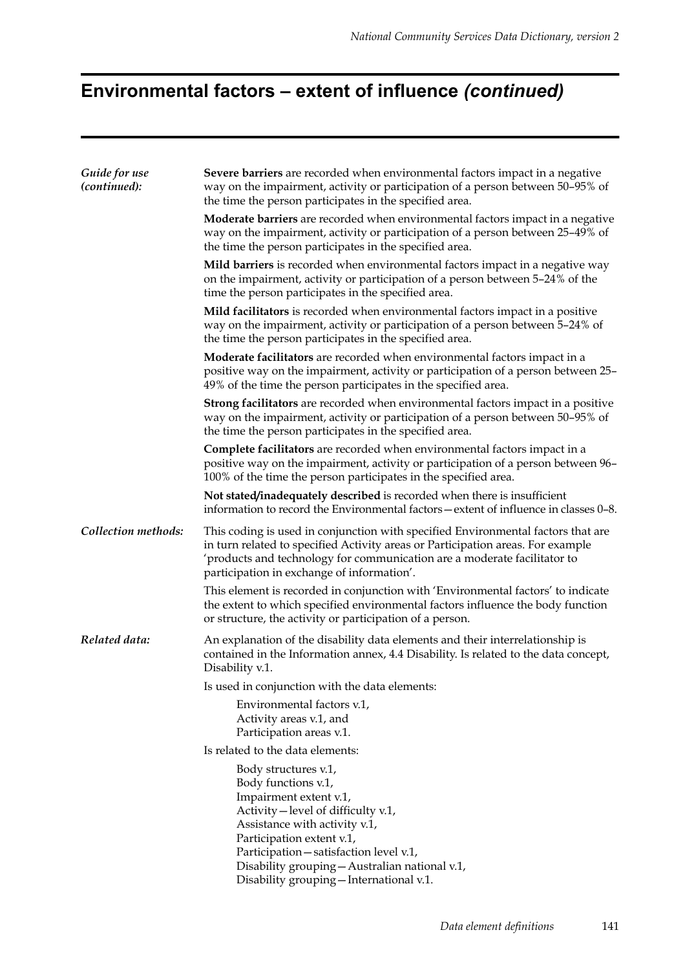# **Environmental factors – extent of influence** *(continued)*

| Guide for use<br>(continued): | Severe barriers are recorded when environmental factors impact in a negative<br>way on the impairment, activity or participation of a person between 50-95% of<br>the time the person participates in the specified area.                                                                                         |  |  |  |  |  |
|-------------------------------|-------------------------------------------------------------------------------------------------------------------------------------------------------------------------------------------------------------------------------------------------------------------------------------------------------------------|--|--|--|--|--|
|                               | Moderate barriers are recorded when environmental factors impact in a negative<br>way on the impairment, activity or participation of a person between 25-49% of<br>the time the person participates in the specified area.                                                                                       |  |  |  |  |  |
|                               | Mild barriers is recorded when environmental factors impact in a negative way<br>on the impairment, activity or participation of a person between 5-24% of the<br>time the person participates in the specified area.                                                                                             |  |  |  |  |  |
|                               | Mild facilitators is recorded when environmental factors impact in a positive<br>way on the impairment, activity or participation of a person between 5-24% of<br>the time the person participates in the specified area.                                                                                         |  |  |  |  |  |
|                               | Moderate facilitators are recorded when environmental factors impact in a<br>positive way on the impairment, activity or participation of a person between 25-<br>49% of the time the person participates in the specified area.                                                                                  |  |  |  |  |  |
|                               | <b>Strong facilitators</b> are recorded when environmental factors impact in a positive<br>way on the impairment, activity or participation of a person between 50-95% of<br>the time the person participates in the specified area.                                                                              |  |  |  |  |  |
|                               | Complete facilitators are recorded when environmental factors impact in a<br>positive way on the impairment, activity or participation of a person between 96–<br>100% of the time the person participates in the specified area.                                                                                 |  |  |  |  |  |
|                               | Not stated/inadequately described is recorded when there is insufficient<br>information to record the Environmental factors - extent of influence in classes 0-8.                                                                                                                                                 |  |  |  |  |  |
| Collection methods:           | This coding is used in conjunction with specified Environmental factors that are<br>in turn related to specified Activity areas or Participation areas. For example<br>'products and technology for communication are a moderate facilitator to<br>participation in exchange of information'.                     |  |  |  |  |  |
|                               | This element is recorded in conjunction with 'Environmental factors' to indicate<br>the extent to which specified environmental factors influence the body function<br>or structure, the activity or participation of a person.                                                                                   |  |  |  |  |  |
| Related data:                 | An explanation of the disability data elements and their interrelationship is<br>contained in the Information annex, 4.4 Disability. Is related to the data concept,<br>Disability v.1.                                                                                                                           |  |  |  |  |  |
|                               | Is used in conjunction with the data elements:                                                                                                                                                                                                                                                                    |  |  |  |  |  |
|                               | Environmental factors v.1,<br>Activity areas v.1, and<br>Participation areas v.1.                                                                                                                                                                                                                                 |  |  |  |  |  |
|                               | Is related to the data elements:                                                                                                                                                                                                                                                                                  |  |  |  |  |  |
|                               | Body structures v.1,<br>Body functions v.1,<br>Impairment extent v.1,<br>Activity – level of difficulty v.1,<br>Assistance with activity v.1,<br>Participation extent v.1,<br>Participation-satisfaction level v.1,<br>Disability grouping - Australian national v.1,<br>Disability grouping - International v.1. |  |  |  |  |  |